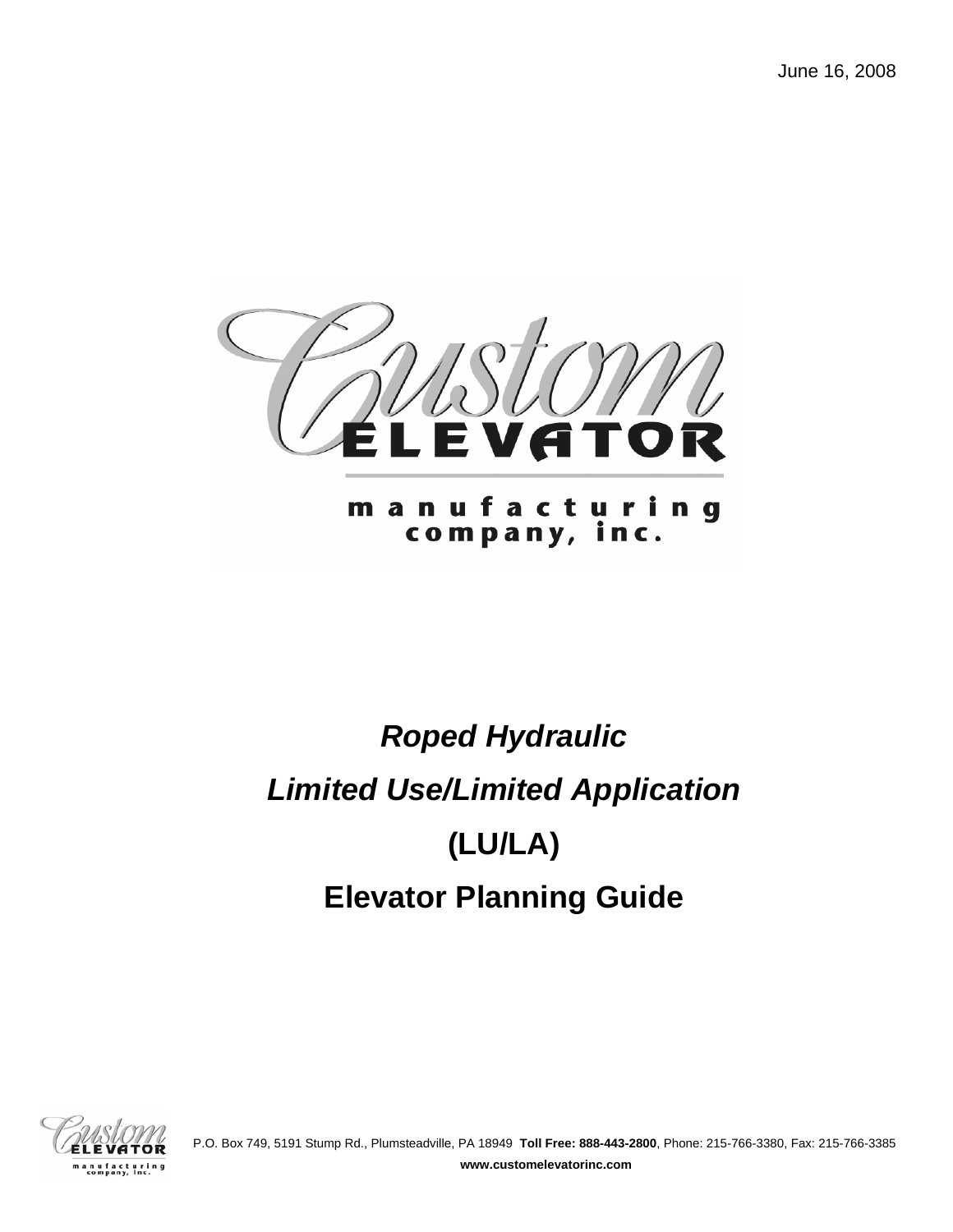

# *Roped Hydraulic Limited Use/Limited Application*  **(LU/LA) Elevator Planning Guide**



 P.O. Box 749, 5191 Stump Rd., Plumsteadville, PA 18949 **Toll Free: 888-443-2800**, Phone: 215-766-3380, Fax: 215-766-3385 **www.customelevatorinc.com**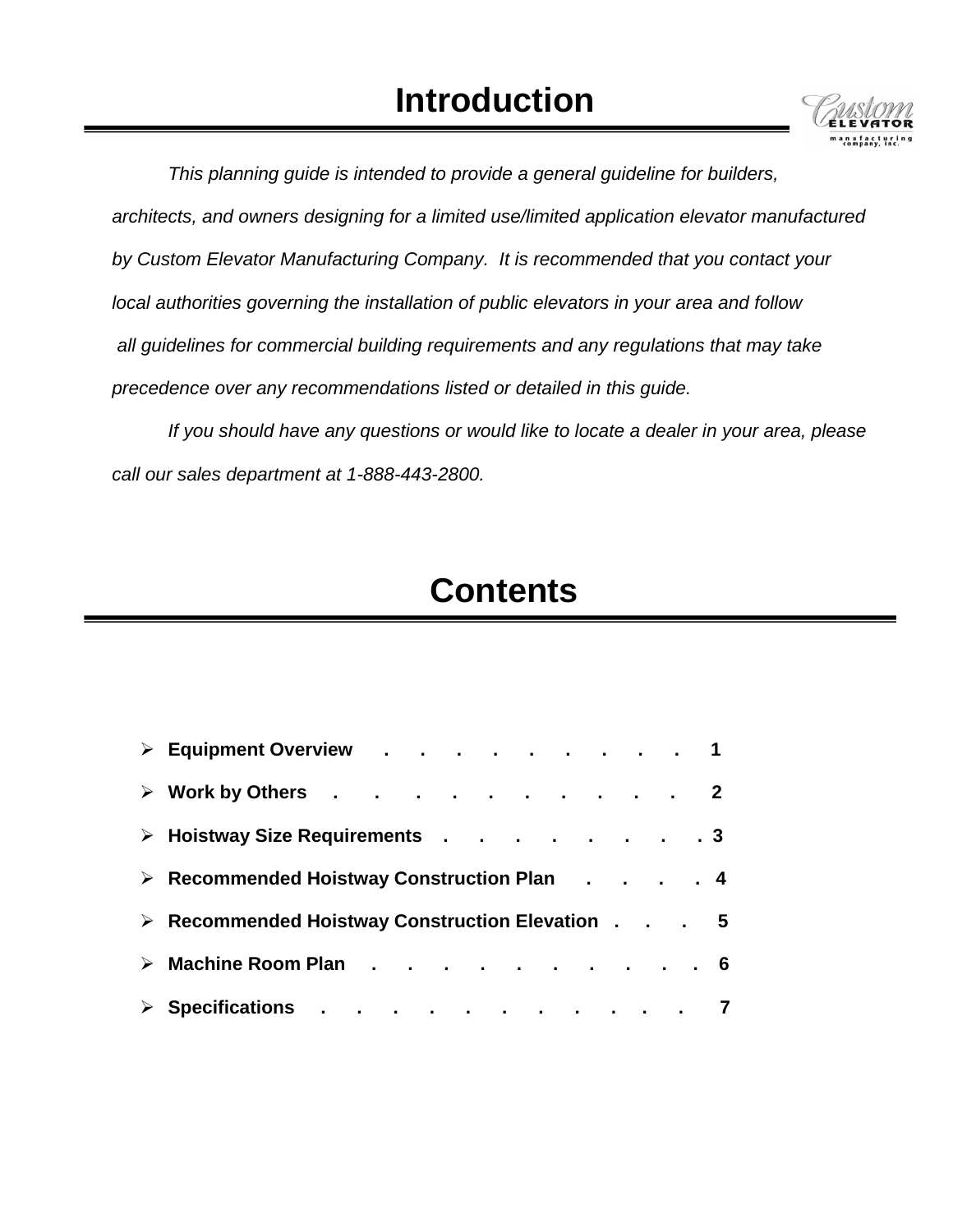

*This planning guide is intended to provide a general guideline for builders,* 

*architects, and owners designing for a limited use/limited application elevator manufactured* 

*by Custom Elevator Manufacturing Company. It is recommended that you contact your* 

*local authorities governing the installation of public elevators in your area and follow* 

 *all guidelines for commercial building requirements and any regulations that may take* 

*precedence over any recommendations listed or detailed in this guide.* 

*If you should have any questions or would like to locate a dealer in your area, please call our sales department at 1-888-443-2800.*

# **Contents**

|                       | > Equipment Overview 1                          |  |
|-----------------------|-------------------------------------------------|--|
|                       | > Work by Others 2                              |  |
|                       | > Hoistway Size Requirements 3                  |  |
|                       | > Recommended Hoistway Construction Plan 4      |  |
|                       | > Recommended Hoistway Construction Elevation 5 |  |
| $\blacktriangleright$ | Machine Room Plan 6                             |  |
| $\blacktriangleright$ | Specifications 7                                |  |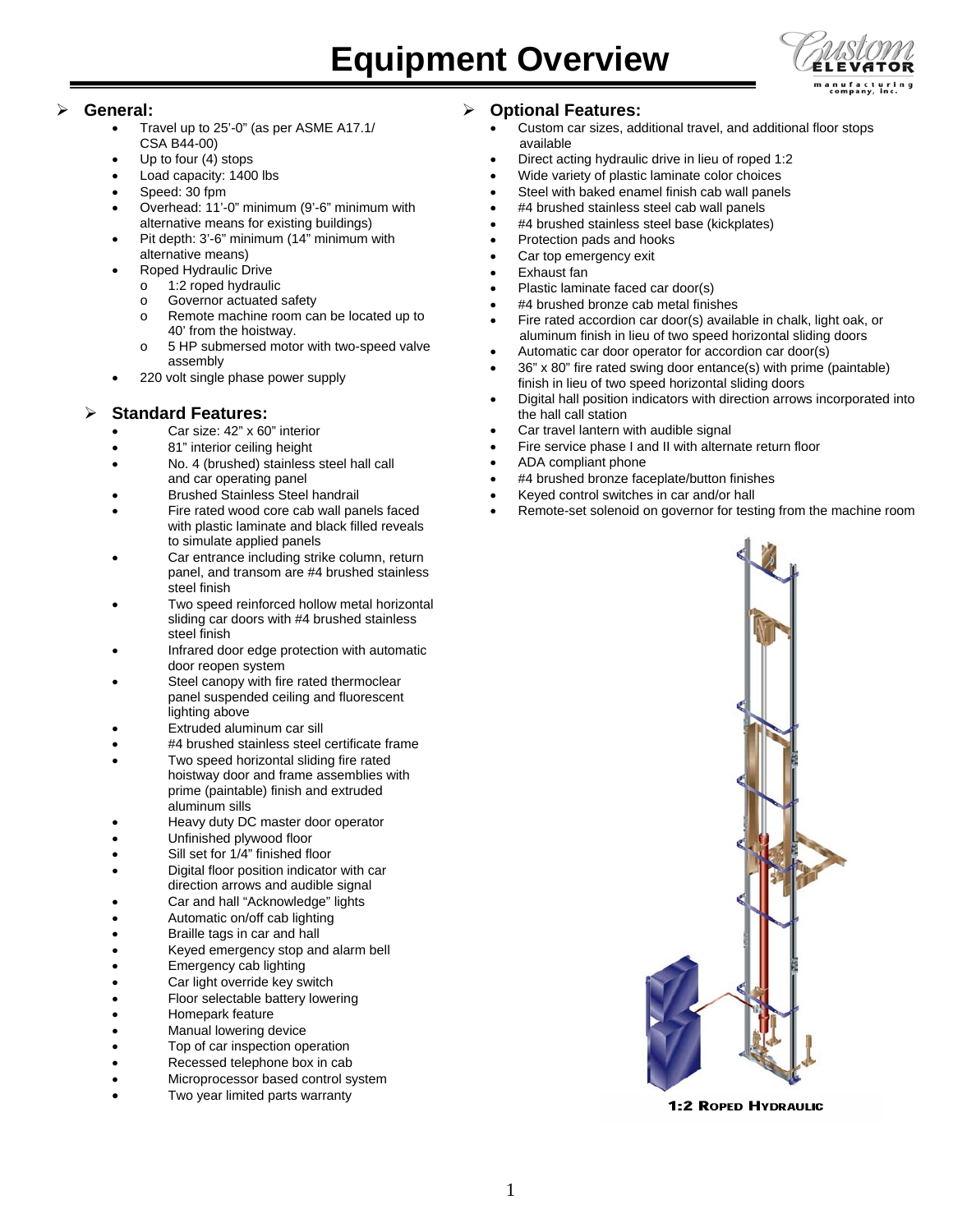# **Equipment Overview**



# ¾ **General:**

- Travel up to 25'-0" (as per ASME A17.1/ CSA B44-00)
- Up to four (4) stops
- Load capacity: 1400 lbs
- Speed: 30 fpm
- Overhead: 11'-0" minimum (9'-6" minimum with alternative means for existing buildings)
- Pit depth: 3'-6" minimum (14" minimum with alternative means)
- Roped Hydraulic Drive
	- o 1:2 roped hydraulic
	- o Governor actuated safety
	- o Remote machine room can be located up to 40' from the hoistway.
	- o 5 HP submersed motor with two-speed valve assembly
- 220 volt single phase power supply

# **Standard Features:**

- Car size: 42" x 60" interior
- 81" interior ceiling height
- No. 4 (brushed) stainless steel hall call and car operating panel
- Brushed Stainless Steel handrail
- Fire rated wood core cab wall panels faced with plastic laminate and black filled reveals to simulate applied panels
- Car entrance including strike column, return panel, and transom are #4 brushed stainless steel finish
- Two speed reinforced hollow metal horizontal sliding car doors with #4 brushed stainless steel finish
- Infrared door edge protection with automatic door reopen system
- Steel canopy with fire rated thermoclear panel suspended ceiling and fluorescent lighting above
- Extruded aluminum car sill
- #4 brushed stainless steel certificate frame
- Two speed horizontal sliding fire rated hoistway door and frame assemblies with prime (paintable) finish and extruded aluminum sills
- Heavy duty DC master door operator
- Unfinished plywood floor
- Sill set for 1/4" finished floor
- Digital floor position indicator with car direction arrows and audible signal
- Car and hall "Acknowledge" lights
- Automatic on/off cab lighting
- Braille tags in car and hall
- Keyed emergency stop and alarm bell
- Emergency cab lighting
- Car light override key switch
- Floor selectable battery lowering
- Homepark feature
- Manual lowering device
- Top of car inspection operation
- Recessed telephone box in cab
- Microprocessor based control system
- Two year limited parts warranty

# ¾ **Optional Features:**

- Custom car sizes, additional travel, and additional floor stops available
- Direct acting hydraulic drive in lieu of roped 1:2
- Wide variety of plastic laminate color choices
- Steel with baked enamel finish cab wall panels
- #4 brushed stainless steel cab wall panels
- #4 brushed stainless steel base (kickplates)
- Protection pads and hooks
- Car top emergency exit
- Exhaust fan
- Plastic laminate faced car door(s)
- #4 brushed bronze cab metal finishes
- Fire rated accordion car door(s) available in chalk, light oak, or aluminum finish in lieu of two speed horizontal sliding doors
- Automatic car door operator for accordion car door(s)
- 36" x 80" fire rated swing door entance(s) with prime (paintable) finish in lieu of two speed horizontal sliding doors
- Digital hall position indicators with direction arrows incorporated into the hall call station
- Car travel lantern with audible signal
- Fire service phase I and II with alternate return floor
- ADA compliant phone
- #4 brushed bronze faceplate/button finishes
- Keyed control switches in car and/or hall
- Remote-set solenoid on governor for testing from the machine room



**1:2 ROPED HYDRAULIC**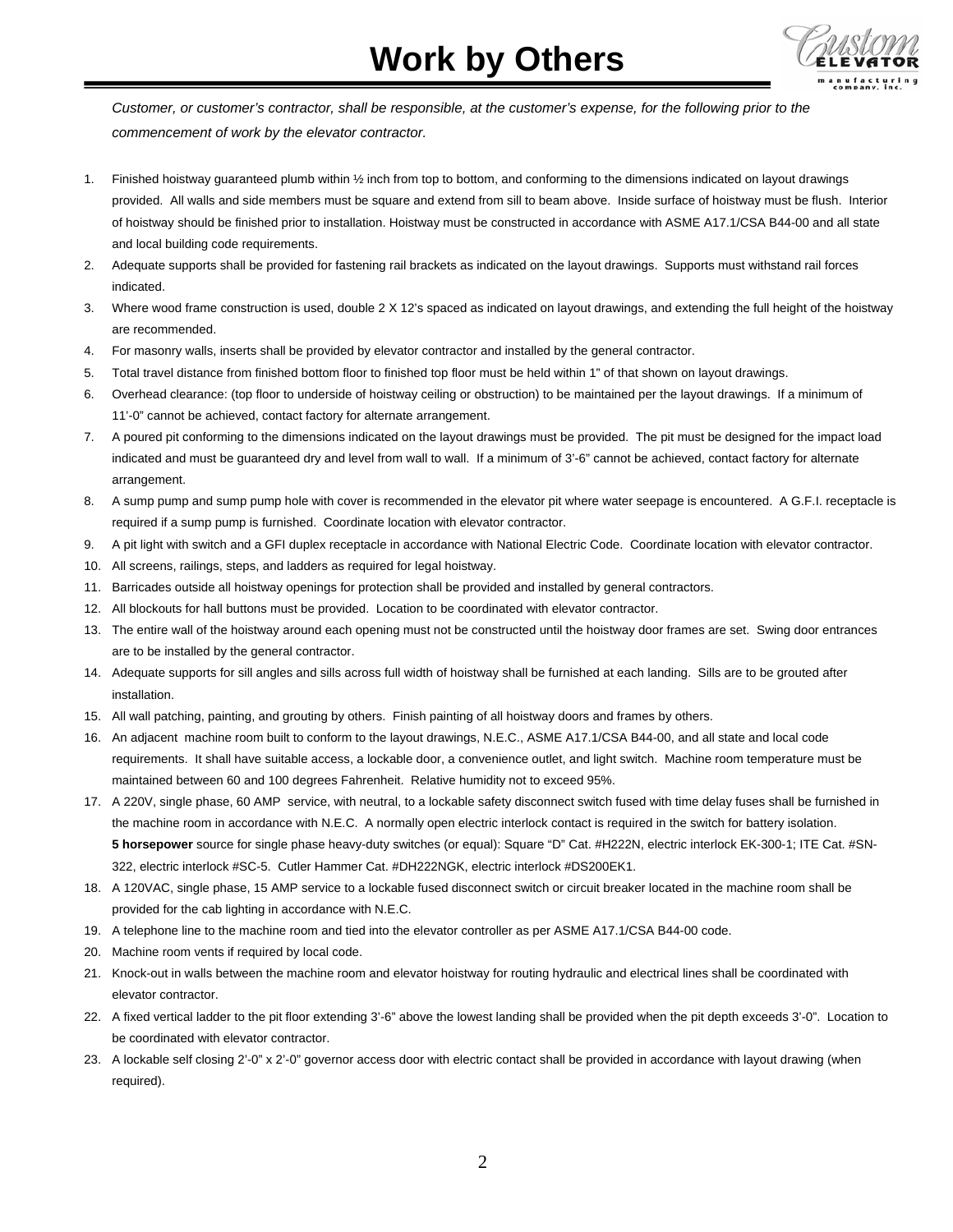# **Work by Others**



*Customer, or customer's contractor, shall be responsible, at the customer's expense, for the following prior to the commencement of work by the elevator contractor.* 

- 1. Finished hoistway guaranteed plumb within ½ inch from top to bottom, and conforming to the dimensions indicated on layout drawings provided. All walls and side members must be square and extend from sill to beam above. Inside surface of hoistway must be flush. Interior of hoistway should be finished prior to installation. Hoistway must be constructed in accordance with ASME A17.1/CSA B44-00 and all state and local building code requirements.
- 2. Adequate supports shall be provided for fastening rail brackets as indicated on the layout drawings. Supports must withstand rail forces indicated.
- 3. Where wood frame construction is used, double 2 X 12's spaced as indicated on layout drawings, and extending the full height of the hoistway are recommended.
- 4. For masonry walls, inserts shall be provided by elevator contractor and installed by the general contractor.
- 5. Total travel distance from finished bottom floor to finished top floor must be held within 1" of that shown on layout drawings.
- 6. Overhead clearance: (top floor to underside of hoistway ceiling or obstruction) to be maintained per the layout drawings. If a minimum of 11'-0" cannot be achieved, contact factory for alternate arrangement.
- 7. A poured pit conforming to the dimensions indicated on the layout drawings must be provided. The pit must be designed for the impact load indicated and must be guaranteed dry and level from wall to wall. If a minimum of 3'-6" cannot be achieved, contact factory for alternate arrangement.
- 8. A sump pump and sump pump hole with cover is recommended in the elevator pit where water seepage is encountered. A G.F.I. receptacle is required if a sump pump is furnished. Coordinate location with elevator contractor.
- 9. A pit light with switch and a GFI duplex receptacle in accordance with National Electric Code. Coordinate location with elevator contractor.
- 10. All screens, railings, steps, and ladders as required for legal hoistway.
- 11. Barricades outside all hoistway openings for protection shall be provided and installed by general contractors.
- 12. All blockouts for hall buttons must be provided. Location to be coordinated with elevator contractor.
- 13. The entire wall of the hoistway around each opening must not be constructed until the hoistway door frames are set. Swing door entrances are to be installed by the general contractor.
- 14. Adequate supports for sill angles and sills across full width of hoistway shall be furnished at each landing. Sills are to be grouted after installation.
- 15. All wall patching, painting, and grouting by others. Finish painting of all hoistway doors and frames by others.
- 16. An adjacent machine room built to conform to the layout drawings, N.E.C., ASME A17.1/CSA B44-00, and all state and local code requirements. It shall have suitable access, a lockable door, a convenience outlet, and light switch. Machine room temperature must be maintained between 60 and 100 degrees Fahrenheit. Relative humidity not to exceed 95%.
- 17. A 220V, single phase, 60 AMP service, with neutral, to a lockable safety disconnect switch fused with time delay fuses shall be furnished in the machine room in accordance with N.E.C. A normally open electric interlock contact is required in the switch for battery isolation. **5 horsepower** source for single phase heavy-duty switches (or equal): Square "D" Cat. #H222N, electric interlock EK-300-1; ITE Cat. #SN-322, electric interlock #SC-5. Cutler Hammer Cat. #DH222NGK, electric interlock #DS200EK1.
- 18. A 120VAC, single phase, 15 AMP service to a lockable fused disconnect switch or circuit breaker located in the machine room shall be provided for the cab lighting in accordance with N.E.C.
- 19. A telephone line to the machine room and tied into the elevator controller as per ASME A17.1/CSA B44-00 code.
- 20. Machine room vents if required by local code.
- 21. Knock-out in walls between the machine room and elevator hoistway for routing hydraulic and electrical lines shall be coordinated with elevator contractor.
- 22. A fixed vertical ladder to the pit floor extending 3'-6" above the lowest landing shall be provided when the pit depth exceeds 3'-0". Location to be coordinated with elevator contractor.
- 23. A lockable self closing 2'-0" x 2'-0" governor access door with electric contact shall be provided in accordance with layout drawing (when required).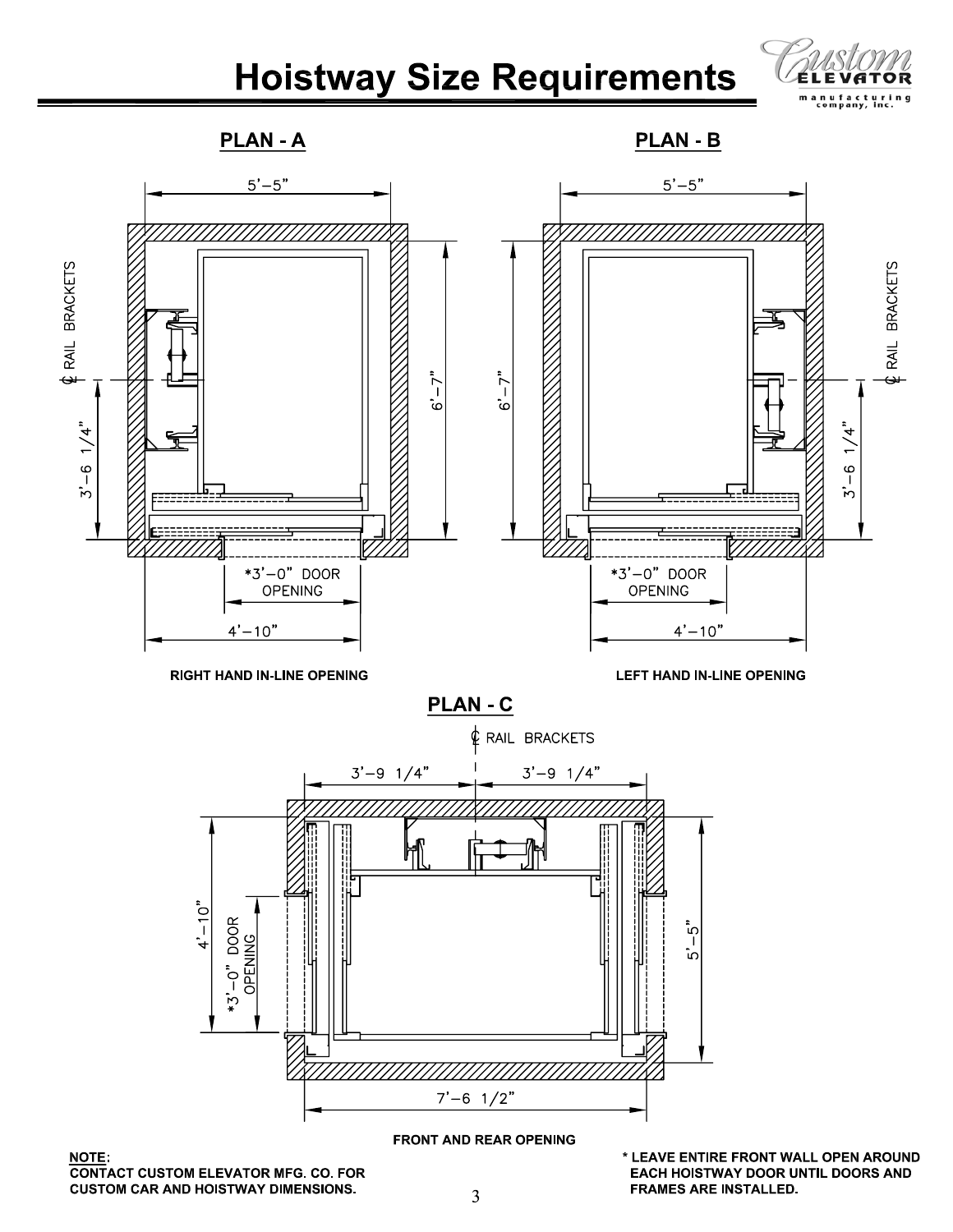# **Hoistway Size Requirements**



**PLAN-A** 

**PLAN - B** 



\* LEAVE ENTIRE FRONT WALL OPEN AROUND EACH HOISTWAY DOOR UNTIL DOORS AND **FRAMES ARE INSTALLED.** 

 $7' - 6$  1/2"

**FRONT AND REAR OPENING**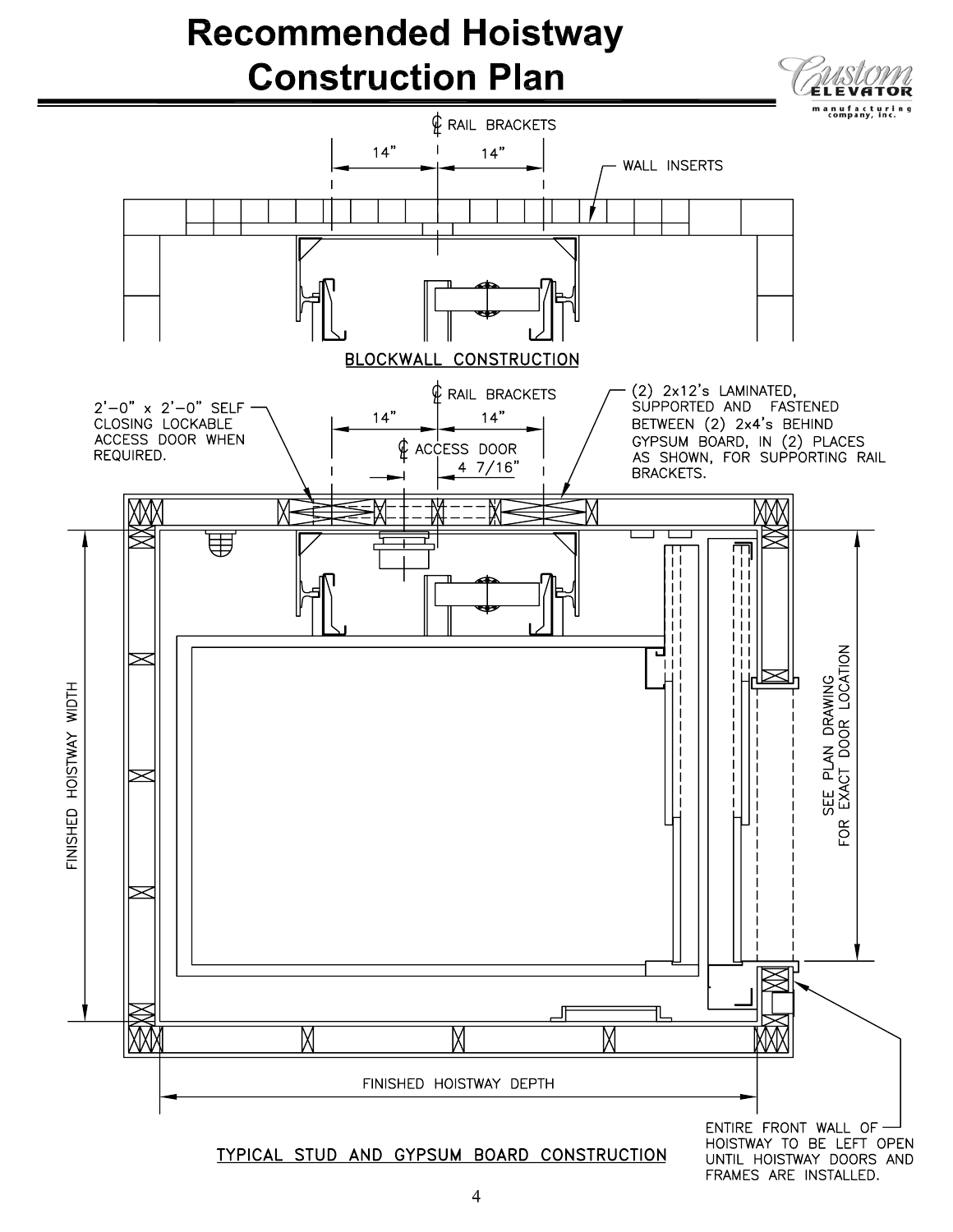# **Recommended Hoistway Construction Plan**



FRAMES ARE INSTALLED.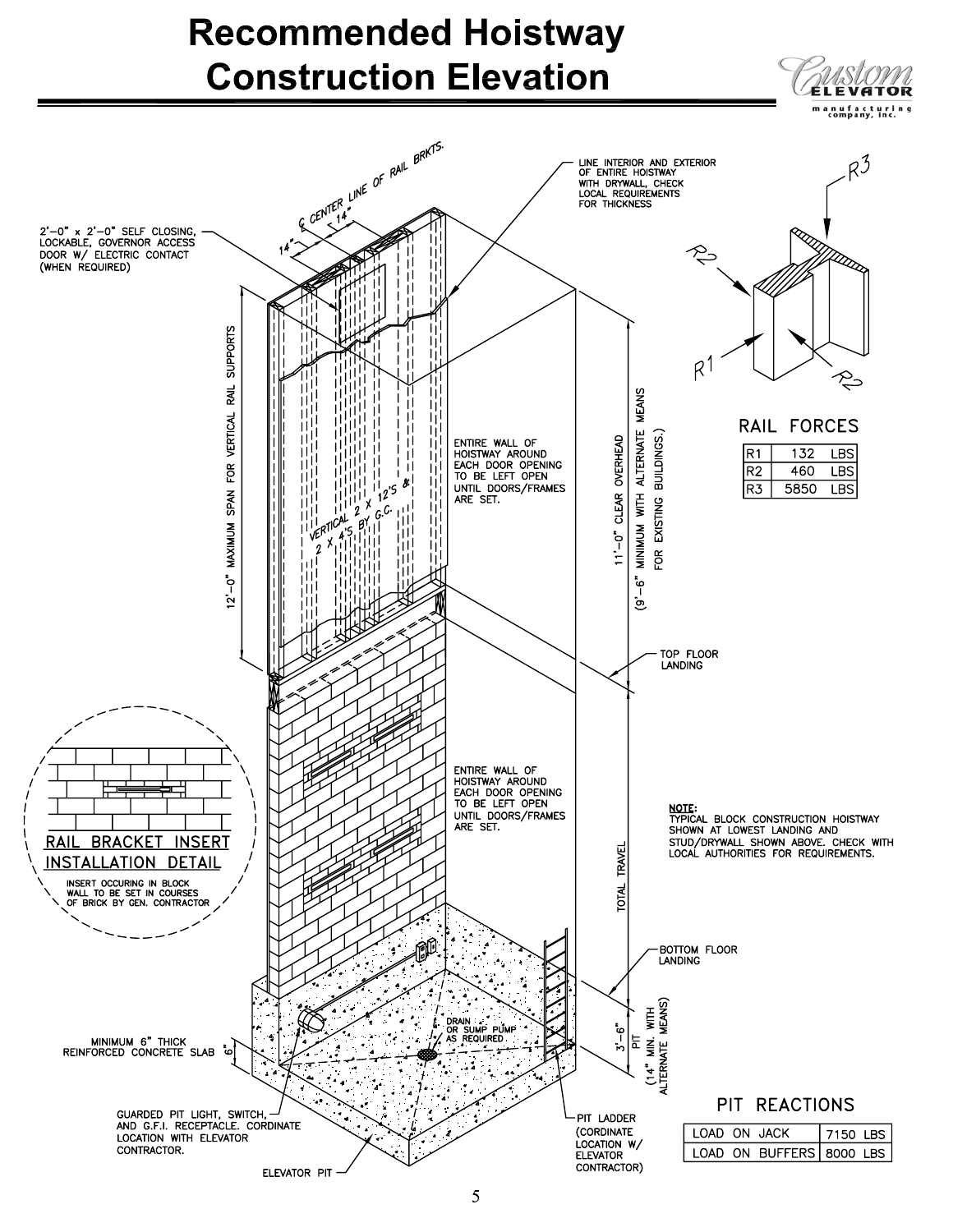# **Recommended Hoistway Construction Elevation**

ÉLEVATOR m a n u f a c t u r i n g<br>company, inc.

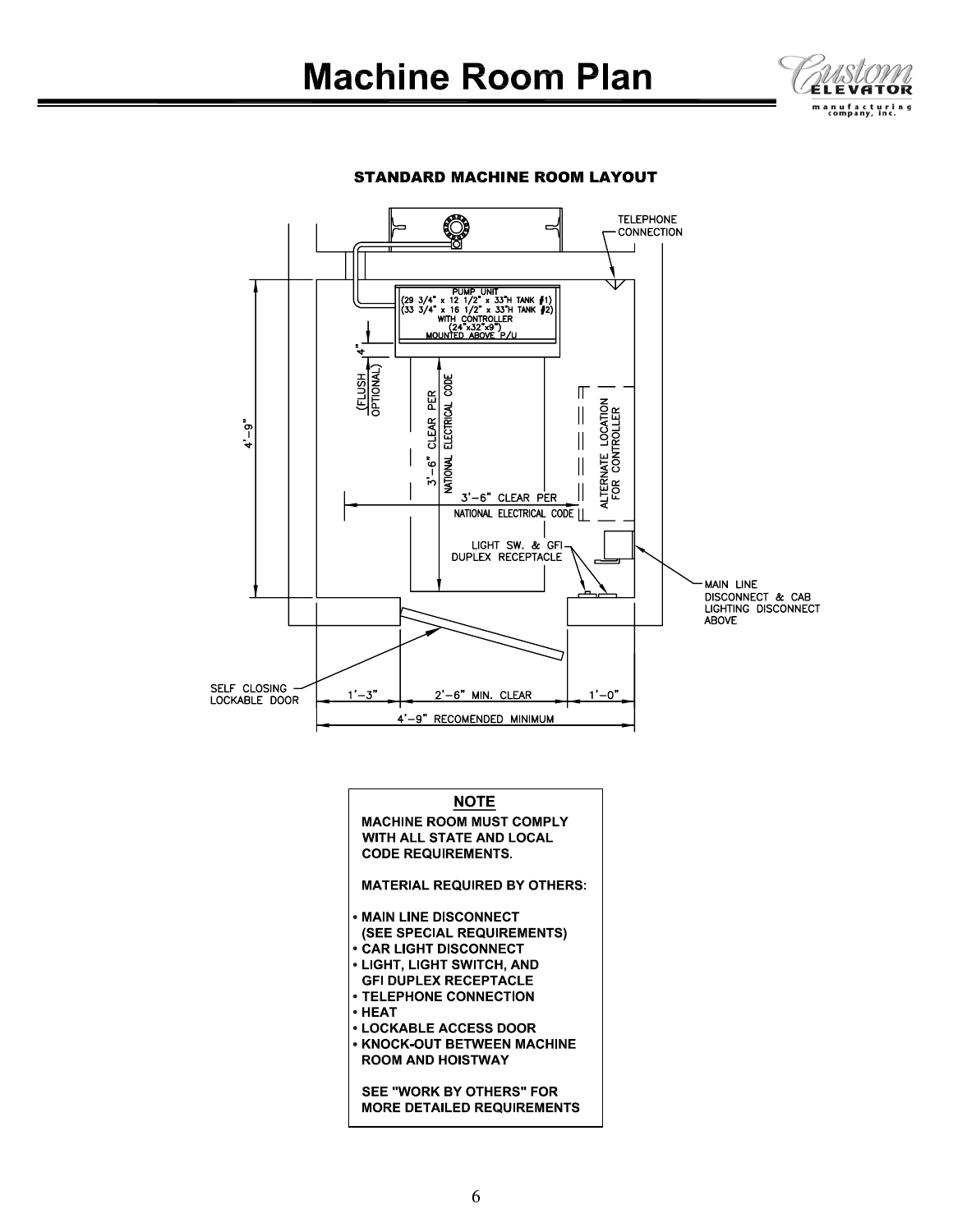



# **STANDARD MACHINE ROOM LAYOUT**



#### **NOTE**

**MACHINE ROOM MUST COMPLY** WITH ALL STATE AND LOCAL **CODE REQUIREMENTS. MATERIAL REQUIRED BY OTHERS: • MAIN LINE DISCONNECT** (SEE SPECIAL REQUIREMENTS) **. CAR LIGHT DISCONNECT** 

- **. LIGHT, LIGHT SWITCH, AND GFI DUPLEX RECEPTACLE • TELEPHONE CONNECTION**
- HEAT
- **. LOCKABLE ACCESS DOOR • KNOCK-OUT BETWEEN MACHINE ROOM AND HOISTWAY**

SEE "WORK BY OTHERS" FOR **MORE DETAILED REQUIREMENTS**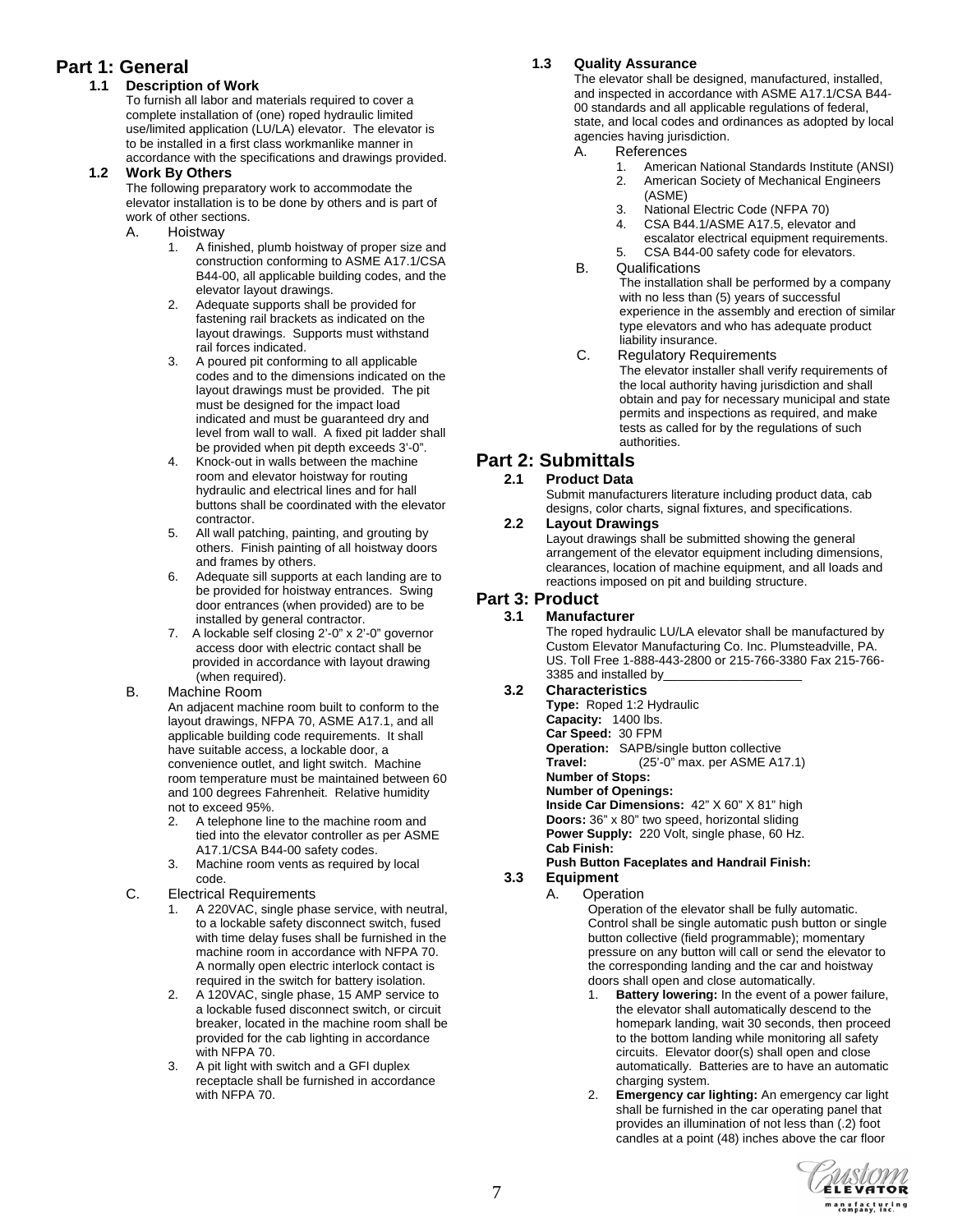# **Part 1: General**

# **1.1 Description of Work**

To furnish all labor and materials required to cover a complete installation of (one) roped hydraulic limited use/limited application (LU/LA) elevator. The elevator is to be installed in a first class workmanlike manner in accordance with the specifications and drawings provided.

## **1.2 Work By Others**

The following preparatory work to accommodate the elevator installation is to be done by others and is part of work of other sections.

- A. Hoistway
	- 1. A finished, plumb hoistway of proper size and construction conforming to ASME A17.1/CSA B44-00, all applicable building codes, and the elevator layout drawings.
	- 2. Adequate supports shall be provided for fastening rail brackets as indicated on the layout drawings. Supports must withstand rail forces indicated.
	- 3. A poured pit conforming to all applicable codes and to the dimensions indicated on the layout drawings must be provided. The pit must be designed for the impact load indicated and must be guaranteed dry and level from wall to wall. A fixed pit ladder shall be provided when pit depth exceeds 3'-0".
	- 4. Knock-out in walls between the machine room and elevator hoistway for routing hydraulic and electrical lines and for hall buttons shall be coordinated with the elevator contractor.
	- 5. All wall patching, painting, and grouting by others. Finish painting of all hoistway doors and frames by others.
	- 6. Adequate sill supports at each landing are to be provided for hoistway entrances. Swing door entrances (when provided) are to be installed by general contractor.
	- 7. A lockable self closing 2'-0" x 2'-0" governor access door with electric contact shall be provided in accordance with layout drawing (when required).

#### B. Machine Room

An adjacent machine room built to conform to the layout drawings, NFPA 70, ASME A17.1, and all applicable building code requirements. It shall have suitable access, a lockable door, a convenience outlet, and light switch. Machine room temperature must be maintained between 60 and 100 degrees Fahrenheit. Relative humidity not to exceed 95%.

- 2. A telephone line to the machine room and tied into the elevator controller as per ASME A17.1/CSA B44-00 safety codes.
- 3. Machine room vents as required by local code.

## C. Electrical Requirements

- 1. A 220VAC, single phase service, with neutral, to a lockable safety disconnect switch, fused with time delay fuses shall be furnished in the machine room in accordance with NFPA 70. A normally open electric interlock contact is required in the switch for battery isolation.
- 2. A 120VAC, single phase, 15 AMP service to a lockable fused disconnect switch, or circuit breaker, located in the machine room shall be provided for the cab lighting in accordance with NFPA 70.
- 3. A pit light with switch and a GFI duplex receptacle shall be furnished in accordance with NFPA 70.

# **1.3 Quality Assurance**

The elevator shall be designed, manufactured, installed, and inspected in accordance with ASME A17.1/CSA B44- 00 standards and all applicable regulations of federal, state, and local codes and ordinances as adopted by local agencies having jurisdiction.

## A. References

- 1. American National Standards Institute (ANSI) 2. American Society of Mechanical Engineers
- (ASME) 3. National Electric Code (NFPA 70)
- 4. CSA B44.1/ASME A17.5, elevator and
- escalator electrical equipment requirements. 5. CSA B44-00 safety code for elevators.

#### B. Qualifications

 The installation shall be performed by a company with no less than (5) years of successful experience in the assembly and erection of similar type elevators and who has adequate product liability insurance.

C. Regulatory Requirements

 The elevator installer shall verify requirements of the local authority having jurisdiction and shall obtain and pay for necessary municipal and state permits and inspections as required, and make tests as called for by the regulations of such authorities.

# **Part 2: Submittals**

# **2.1 Product Data**

Submit manufacturers literature including product data, cab designs, color charts, signal fixtures, and specifications.

# **2.2 Layout Drawings**

Layout drawings shall be submitted showing the general arrangement of the elevator equipment including dimensions, clearances, location of machine equipment, and all loads and reactions imposed on pit and building structure.

# **Part 3: Product**

#### **3.1 Manufacturer**

The roped hydraulic LU/LA elevator shall be manufactured by Custom Elevator Manufacturing Co. Inc. Plumsteadville, PA. US. Toll Free 1-888-443-2800 or 215-766-3380 Fax 215-766- 3385 and installed by

## **3.2 Characteristics**

**Type:** Roped 1:2 Hydraulic **Capacity:** 1400 lbs. **Car Speed:** 30 FPM **Operation:** SAPB/single button collective **Travel:** (25'-0" max. per ASME A17.1) **Number of Stops: Number of Openings: Inside Car Dimensions:** 42" X 60" X 81" high **Doors:** 36" x 80" two speed, horizontal sliding **Power Supply:** 220 Volt, single phase, 60 Hz. **Cab Finish:** 

# **Push Button Faceplates and Handrail Finish:**

# **3.3 Equipment**

A. Operation

Operation of the elevator shall be fully automatic. Control shall be single automatic push button or single button collective (field programmable); momentary pressure on any button will call or send the elevator to the corresponding landing and the car and hoistway doors shall open and close automatically.

- 1. **Battery lowering:** In the event of a power failure, the elevator shall automatically descend to the homepark landing, wait 30 seconds, then proceed to the bottom landing while monitoring all safety circuits. Elevator door(s) shall open and close automatically. Batteries are to have an automatic charging system.
- 2. **Emergency car lighting:** An emergency car light shall be furnished in the car operating panel that provides an illumination of not less than (.2) foot candles at a point (48) inches above the car floor

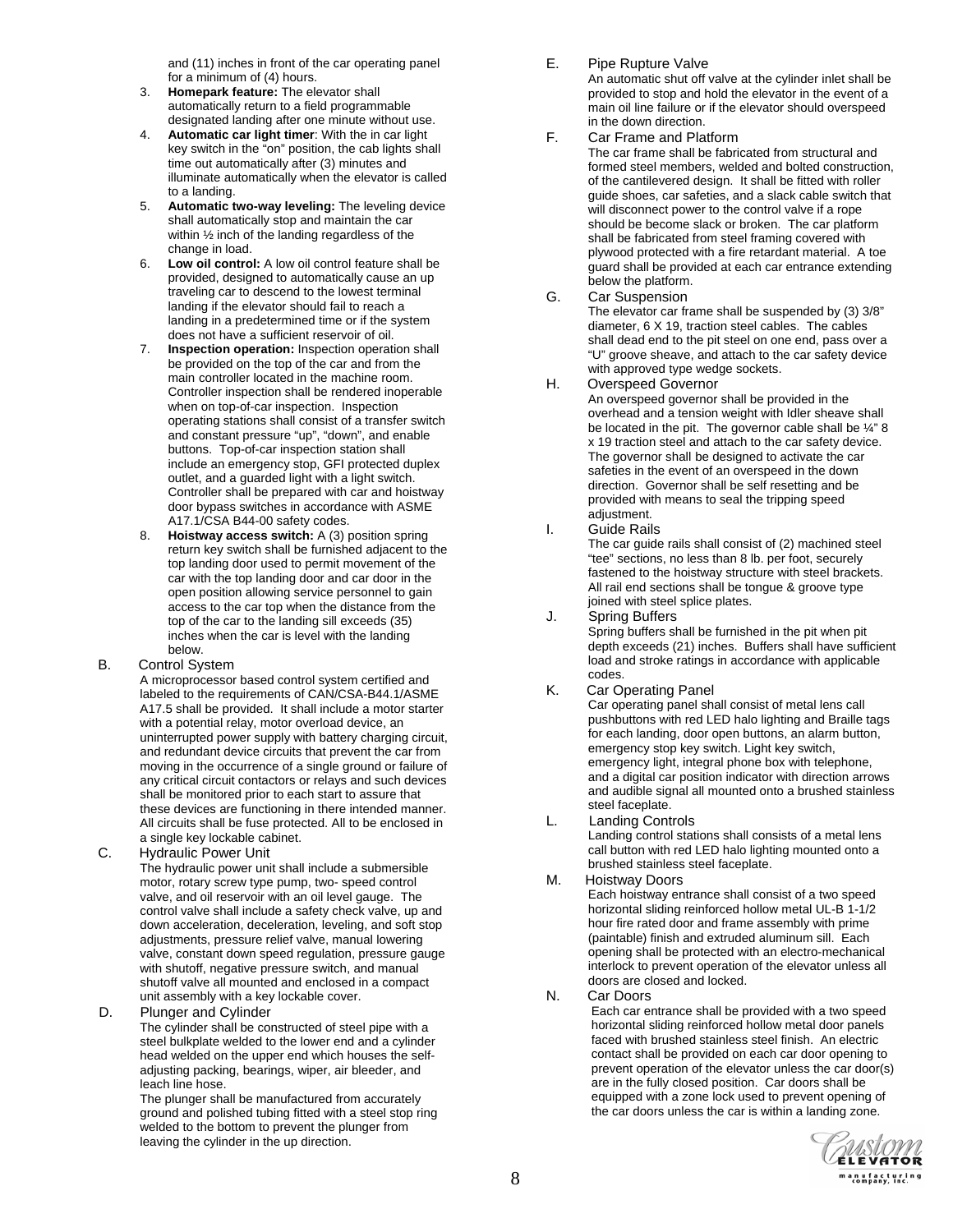and (11) inches in front of the car operating panel for a minimum of (4) hours.

- 3. **Homepark feature:** The elevator shall automatically return to a field programmable designated landing after one minute without use.
- 4. **Automatic car light timer**: With the in car light key switch in the "on" position, the cab lights shall time out automatically after (3) minutes and illuminate automatically when the elevator is called to a landing.
- 5. **Automatic two-way leveling:** The leveling device shall automatically stop and maintain the car within ½ inch of the landing regardless of the change in load.
- 6. **Low oil control:** A low oil control feature shall be provided, designed to automatically cause an up traveling car to descend to the lowest terminal landing if the elevator should fail to reach a landing in a predetermined time or if the system does not have a sufficient reservoir of oil.
- 7. **Inspection operation:** Inspection operation shall be provided on the top of the car and from the main controller located in the machine room. Controller inspection shall be rendered inoperable when on top-of-car inspection. Inspection operating stations shall consist of a transfer switch and constant pressure "up", "down", and enable buttons. Top-of-car inspection station shall include an emergency stop, GFI protected duplex outlet, and a guarded light with a light switch. Controller shall be prepared with car and hoistway door bypass switches in accordance with ASME A17.1/CSA B44-00 safety codes.
- 8. **Hoistway access switch:** A (3) position spring return key switch shall be furnished adjacent to the top landing door used to permit movement of the car with the top landing door and car door in the open position allowing service personnel to gain access to the car top when the distance from the top of the car to the landing sill exceeds (35) inches when the car is level with the landing below.
- B. Control System

A microprocessor based control system certified and labeled to the requirements of CAN/CSA-B44.1/ASME A17.5 shall be provided. It shall include a motor starter with a potential relay, motor overload device, an uninterrupted power supply with battery charging circuit, and redundant device circuits that prevent the car from moving in the occurrence of a single ground or failure of any critical circuit contactors or relays and such devices shall be monitored prior to each start to assure that these devices are functioning in there intended manner. All circuits shall be fuse protected. All to be enclosed in a single key lockable cabinet.

C. Hydraulic Power Unit

The hydraulic power unit shall include a submersible motor, rotary screw type pump, two- speed control valve, and oil reservoir with an oil level gauge. The control valve shall include a safety check valve, up and down acceleration, deceleration, leveling, and soft stop adjustments, pressure relief valve, manual lowering valve, constant down speed regulation, pressure gauge with shutoff, negative pressure switch, and manual shutoff valve all mounted and enclosed in a compact unit assembly with a key lockable cover.

#### D. Plunger and Cylinder

The cylinder shall be constructed of steel pipe with a steel bulkplate welded to the lower end and a cylinder head welded on the upper end which houses the selfadjusting packing, bearings, wiper, air bleeder, and leach line hose.

The plunger shall be manufactured from accurately ground and polished tubing fitted with a steel stop ring welded to the bottom to prevent the plunger from leaving the cylinder in the up direction.

### E. Pipe Rupture Valve

An automatic shut off valve at the cylinder inlet shall be provided to stop and hold the elevator in the event of a main oil line failure or if the elevator should overspeed in the down direction.

F. Car Frame and Platform

The car frame shall be fabricated from structural and formed steel members, welded and bolted construction, of the cantilevered design. It shall be fitted with roller guide shoes, car safeties, and a slack cable switch that will disconnect power to the control valve if a rope should be become slack or broken. The car platform shall be fabricated from steel framing covered with plywood protected with a fire retardant material. A toe guard shall be provided at each car entrance extending below the platform.

G. Car Suspension

The elevator car frame shall be suspended by (3) 3/8" diameter, 6 X 19, traction steel cables. The cables shall dead end to the pit steel on one end, pass over a "U" groove sheave, and attach to the car safety device with approved type wedge sockets.

#### H. Overspeed Governor

An overspeed governor shall be provided in the overhead and a tension weight with Idler sheave shall be located in the pit. The governor cable shall be ¼" 8 x 19 traction steel and attach to the car safety device. The governor shall be designed to activate the car safeties in the event of an overspeed in the down direction. Governor shall be self resetting and be provided with means to seal the tripping speed adjustment.

I. Guide Rails

The car guide rails shall consist of (2) machined steel "tee" sections, no less than 8 lb. per foot, securely fastened to the hoistway structure with steel brackets. All rail end sections shall be tongue & groove type joined with steel splice plates.

J. Spring Buffers Spring buffers shall be furnished in the pit when pit depth exceeds (21) inches. Buffers shall have sufficient load and stroke ratings in accordance with applicable codes.

K. Car Operating Panel

Car operating panel shall consist of metal lens call pushbuttons with red LED halo lighting and Braille tags for each landing, door open buttons, an alarm button, emergency stop key switch. Light key switch, emergency light, integral phone box with telephone, and a digital car position indicator with direction arrows and audible signal all mounted onto a brushed stainless steel faceplate.

L. Landing Controls

Landing control stations shall consists of a metal lens call button with red LED halo lighting mounted onto a brushed stainless steel faceplate.

## M. Hoistway Doors

Each hoistway entrance shall consist of a two speed horizontal sliding reinforced hollow metal UL-B 1-1/2 hour fire rated door and frame assembly with prime (paintable) finish and extruded aluminum sill. Each opening shall be protected with an electro-mechanical interlock to prevent operation of the elevator unless all doors are closed and locked.

N. Car Doors

 Each car entrance shall be provided with a two speed horizontal sliding reinforced hollow metal door panels faced with brushed stainless steel finish. An electric contact shall be provided on each car door opening to prevent operation of the elevator unless the car door(s) are in the fully closed position. Car doors shall be equipped with a zone lock used to prevent opening of the car doors unless the car is within a landing zone.